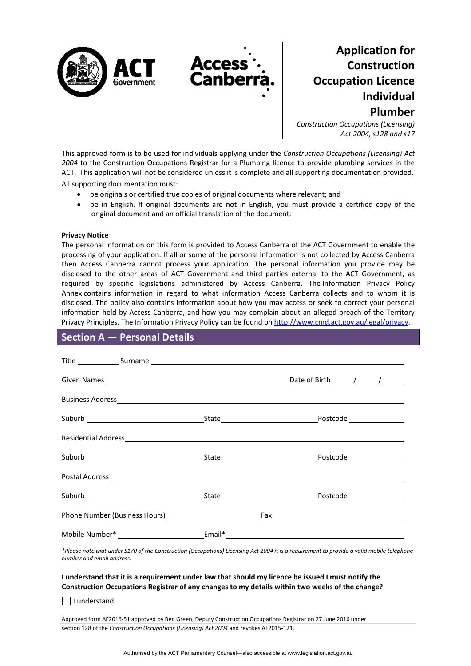

# **Application for Construction Occupation Licence Individual Plumber**

*Construction Occupations (Licensing) Act 2004, s128 and s17*

This approved form is to be used for individuals applying under the *Construction Occupations (Licensing) Act 2004* to the Construction Occupations Registrar for a Plumbing licence to provide plumbing services in the ACT. This application will not be considered unless it is complete and all supporting documentation provided. All supporting documentation must:

- be originals or certified true copies of original documents where relevant; and
- be in English. If original documents are not in English, you must provide a certified copy of the original document and an official translation of the document.

#### **Privacy Notice**

The personal information on this form is provided to Access Canberra of the ACT Government to enable the processing of your application. If all or some of the personal information is not collected by Access Canberra then Access Canberra cannot process your application. The personal information you provide may be disclosed to the other areas of ACT Government and third parties external to the ACT Government, as required by specific legislations administered by Access Canberra. The [Information](http://www.environment.act.gov.au/__data/assets/pdf_file/0006/633741/Information-Privacy-Policy-Annex.pdf) Privacy Policy [Annex](http://www.environment.act.gov.au/__data/assets/pdf_file/0006/633741/Information-Privacy-Policy-Annex.pdf) contains information in regard to what information Access Canberra collects and to whom it is disclosed. The policy also contains information about how you may access or seek to correct your personal information held by Access Canberra, and how you may complain about an alleged breach of the Territory Privacy Principles. The Information Privacy Policy can be found on <http://www.cmd.act.gov.au/legal/privacy>.

### **Section A — Personal Details**

| Title Surname Surname Surname Surname Surname Surname Surname Surname Surname Surname Surname Surname Surname Surname Surname Surname Surname Surname Surname Surname Surname Surname Surname Surname Surname Surname Surname |                                                                                  |
|-------------------------------------------------------------------------------------------------------------------------------------------------------------------------------------------------------------------------------|----------------------------------------------------------------------------------|
|                                                                                                                                                                                                                               |                                                                                  |
|                                                                                                                                                                                                                               |                                                                                  |
|                                                                                                                                                                                                                               |                                                                                  |
|                                                                                                                                                                                                                               |                                                                                  |
|                                                                                                                                                                                                                               |                                                                                  |
|                                                                                                                                                                                                                               |                                                                                  |
|                                                                                                                                                                                                                               |                                                                                  |
|                                                                                                                                                                                                                               |                                                                                  |
|                                                                                                                                                                                                                               | Mobile Number* _____________________________Email*______________________________ |

\*Please note that under S170 of the Construction (Occupations) Licensing Act 2004 it is a requirement to provide a valid mobile telephone *number and email address.* 

#### I understand that it is a requirement under law that should my licence be issued I must notify the **Construction Occupations Registrar of any changes to my details within two weeks of the change?**

I understand

Approved form AF2016‐51 approved by Ben Green, Deputy Construction Occupations Registrar on 27 June 2016 under section 128 of the *Construction Occupations (Licensing) Act 2004* and revokes AF2015‐121.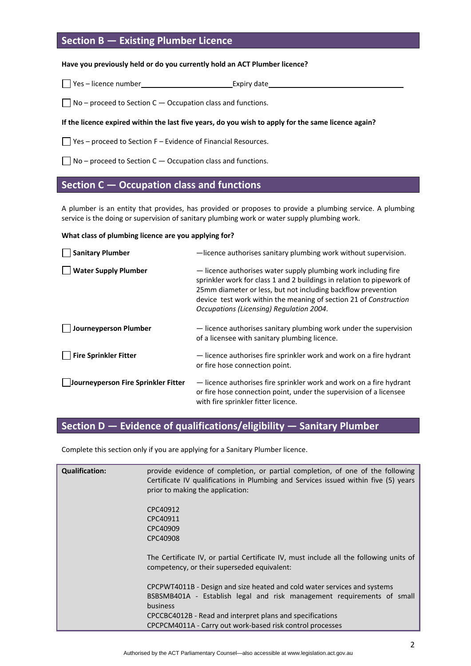### **Section B — Existing Plumber Licence**

#### **Have you previously held or do you currently hold an ACT Plumber licence?**

 $\Box$  Yes – licence number Expiry date

 $\Box$  No – proceed to Section C – Occupation class and functions.

#### If the licence expired within the last five years, do you wish to apply for the same licence again?

 $\Box$  Yes – proceed to Section F – Evidence of Financial Resources.

 $\Box$  No – proceed to Section C – Occupation class and functions.

### **Section C — Occupation class and functions**

A plumber is an entity that provides, has provided or proposes to provide a plumbing service. A plumbing service is the doing or supervision of sanitary plumbing work or water supply plumbing work.

#### **What class of plumbing licence are you applying for?**

| <b>Sanitary Plumber</b>             | -licence authorises sanitary plumbing work without supervision.                                                                                                                                                                                                                                                          |
|-------------------------------------|--------------------------------------------------------------------------------------------------------------------------------------------------------------------------------------------------------------------------------------------------------------------------------------------------------------------------|
| <b>Water Supply Plumber</b>         | - licence authorises water supply plumbing work including fire<br>sprinkler work for class 1 and 2 buildings in relation to pipework of<br>25mm diameter or less, but not including backflow prevention<br>device test work within the meaning of section 21 of Construction<br>Occupations (Licensing) Regulation 2004. |
| Journeyperson Plumber               | - licence authorises sanitary plumbing work under the supervision<br>of a licensee with sanitary plumbing licence.                                                                                                                                                                                                       |
| <b>Fire Sprinkler Fitter</b>        | - licence authorises fire sprinkler work and work on a fire hydrant<br>or fire hose connection point.                                                                                                                                                                                                                    |
| Journeyperson Fire Sprinkler Fitter | - licence authorises fire sprinkler work and work on a fire hydrant<br>or fire hose connection point, under the supervision of a licensee<br>with fire sprinkler fitter licence.                                                                                                                                         |

# **Section D — Evidence of qualifications/eligibility — Sanitary Plumber**

Complete this section only if you are applying for a Sanitary Plumber licence.

| <b>Qualification:</b> | provide evidence of completion, or partial completion, of one of the following<br>Certificate IV qualifications in Plumbing and Services issued within five (5) years<br>prior to making the application:                                                                                       |
|-----------------------|-------------------------------------------------------------------------------------------------------------------------------------------------------------------------------------------------------------------------------------------------------------------------------------------------|
|                       | CPC40912<br>CPC40911<br>CPC40909<br>CPC40908                                                                                                                                                                                                                                                    |
|                       | The Certificate IV, or partial Certificate IV, must include all the following units of<br>competency, or their superseded equivalent:                                                                                                                                                           |
|                       | CPCPWT4011B - Design and size heated and cold water services and systems<br>BSBSMB401A - Establish legal and risk management requirements of small<br><b>business</b><br>CPCCBC4012B - Read and interpret plans and specifications<br>CPCPCM4011A - Carry out work-based risk control processes |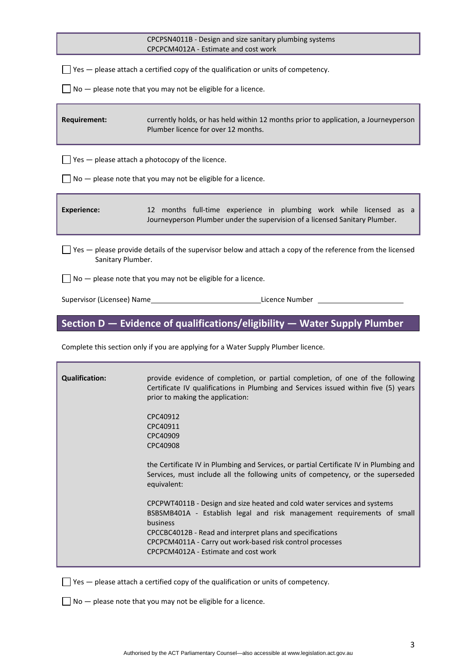|                                                                                                                                         | CPCPSN4011B - Design and size sanitary plumbing systems<br>CPCPCM4012A - Estimate and cost work                                                    |  |  |  |
|-----------------------------------------------------------------------------------------------------------------------------------------|----------------------------------------------------------------------------------------------------------------------------------------------------|--|--|--|
|                                                                                                                                         | $\sqrt{ }$ Yes $-$ please attach a certified copy of the qualification or units of competency.                                                     |  |  |  |
|                                                                                                                                         | $\sqrt{ }$ No $-$ please note that you may not be eligible for a licence.                                                                          |  |  |  |
| <b>Requirement:</b>                                                                                                                     | currently holds, or has held within 12 months prior to application, a Journeyperson<br>Plumber licence for over 12 months.                         |  |  |  |
|                                                                                                                                         | Yes - please attach a photocopy of the licence.                                                                                                    |  |  |  |
|                                                                                                                                         | No - please note that you may not be eligible for a licence.                                                                                       |  |  |  |
| <b>Experience:</b>                                                                                                                      | 12 months full-time experience in plumbing work while licensed as a<br>Journeyperson Plumber under the supervision of a licensed Sanitary Plumber. |  |  |  |
| $\Box$ Yes $-$ please provide details of the supervisor below and attach a copy of the reference from the licensed<br>Sanitary Plumber. |                                                                                                                                                    |  |  |  |
| No - please note that you may not be eligible for a licence.                                                                            |                                                                                                                                                    |  |  |  |
|                                                                                                                                         | Supervisor (Licensee) Name et al. 2010 and 2010 and 2010 and 2010 and 2010 and 2010 and 2010 and 201                                               |  |  |  |
|                                                                                                                                         | Section D - Evidence of qualifications/eligibility - Water Supply Plumber                                                                          |  |  |  |
| Complete this section only if you are applying for a Water Supply Plumber licence.                                                      |                                                                                                                                                    |  |  |  |
| Oualification:                                                                                                                          | provide evidence of completion or partial completion of one of the following                                                                       |  |  |  |

| <b>Qualification:</b> | provide evidence of completion, or partial completion, of one of the following<br>Certificate IV qualifications in Plumbing and Services issued within five (5) years<br>prior to making the application:                                                                                                                        |
|-----------------------|----------------------------------------------------------------------------------------------------------------------------------------------------------------------------------------------------------------------------------------------------------------------------------------------------------------------------------|
|                       | CPC40912<br>CPC40911<br>CPC40909<br>CPC40908                                                                                                                                                                                                                                                                                     |
|                       | the Certificate IV in Plumbing and Services, or partial Certificate IV in Plumbing and<br>Services, must include all the following units of competency, or the superseded<br>equivalent:                                                                                                                                         |
|                       | CPCPWT4011B - Design and size heated and cold water services and systems<br>BSBSMB401A - Establish legal and risk management requirements of small<br>business<br>CPCCBC4012B - Read and interpret plans and specifications<br>CPCPCM4011A - Carry out work-based risk control processes<br>CPCPCM4012A - Estimate and cost work |

 $\Box$  Yes  $-$  please attach a certified copy of the qualification or units of competency.

 $\Box$  No  $-$  please note that you may not be eligible for a licence.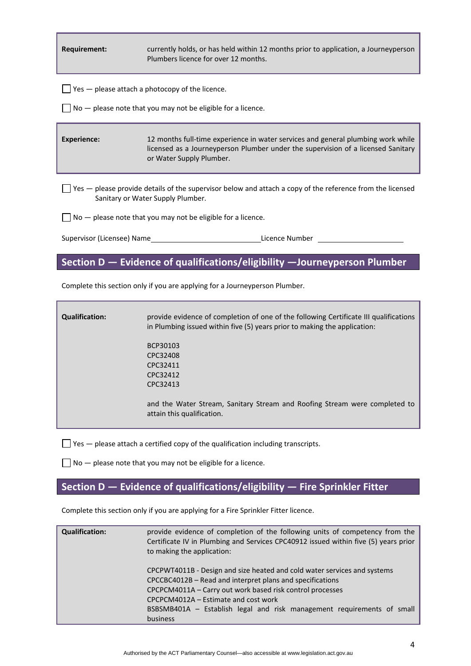**Requirement:** currently holds, or has held within 12 months prior to application, a Journeyperson Plumbers licence for over 12 months.

 $\Box$  Yes  $-$  please attach a photocopy of the licence.

 $\Box$  No  $-$  please note that you may not be eligible for a licence.

**Experience:** 12 months full-time experience in water services and general plumbing work while licensed as a Journeyperson Plumber under the supervision of a licensed Sanitary or Water Supply Plumber.

 $\Box$  Yes — please provide details of the supervisor below and attach a copy of the reference from the licensed Sanitary or Water Supply Plumber.

 $\Box$  No  $-$  please note that you may not be eligible for a licence.

Supervisor (Licensee) Name **Base Constants Constants Constants Constants Constants Constants Constants Constants Constants Constants Constants Constants Constants Constants Constants Constants Constants Constants Constants** 

### **Section D — Evidence of qualifications/eligibility —Journeyperson Plumber**

Complete this section only if you are applying for a Journeyperson Plumber.

**Qualification:** provide evidence of completion of one of the following Certificate III qualifications in Plumbing issued within five (5) years prior to making the application: BCP30103 CPC32408 CPC32411 CPC32412 CPC32413 and the Water Stream, Sanitary Stream and Roofing Stream were completed to attain this qualification.

 $\Box$  Yes  $-$  please attach a certified copy of the qualification including transcripts.

 $\Box$  No  $-$  please note that you may not be eligible for a licence.

### **Section D — Evidence of qualifications/eligibility — Fire Sprinkler Fitter**

Complete this section only if you are applying for a Fire Sprinkler Fitter licence.

| <b>Qualification:</b> | provide evidence of completion of the following units of competency from the<br>Certificate IV in Plumbing and Services CPC40912 issued within five (5) years prior<br>to making the application:                                                                                                                                |
|-----------------------|----------------------------------------------------------------------------------------------------------------------------------------------------------------------------------------------------------------------------------------------------------------------------------------------------------------------------------|
|                       | CPCPWT4011B - Design and size heated and cold water services and systems<br>CPCCBC4012B - Read and interpret plans and specifications<br>CPCPCM4011A - Carry out work based risk control processes<br>CPCPCM4012A – Estimate and cost work<br>BSBSMB401A - Establish legal and risk management requirements of small<br>business |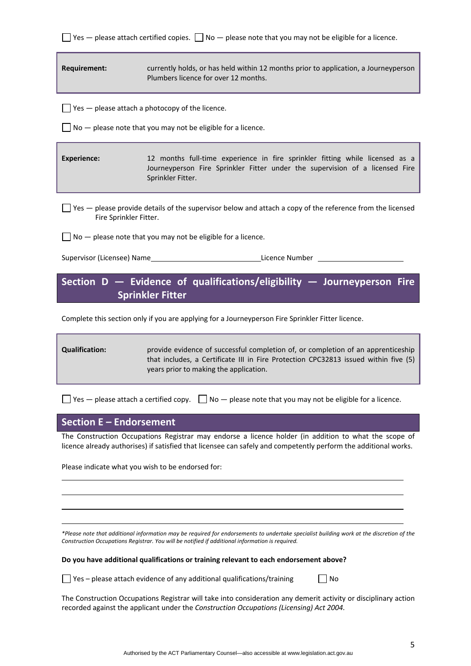| $\Box$ Yes — please attach certified copies. $\Box$ No — please note that you may not be eligible for a licence. |  |  |  |  |
|------------------------------------------------------------------------------------------------------------------|--|--|--|--|
|------------------------------------------------------------------------------------------------------------------|--|--|--|--|

**Requirement:** currently holds, or has held within 12 months prior to application, a Journeyperson Plumbers licence for over 12 months.

 $\Box$  Yes  $-$  please attach a photocopy of the licence.

 $\Box$  No  $-$  please note that you may not be eligible for a licence.

**Experience:** 12 months full-time experience in fire sprinkler fitting while licensed as a Journeyperson Fire Sprinkler Fitter under the supervision of a licensed Fire Sprinkler Fitter.

 $\Box$  Yes  $-$  please provide details of the supervisor below and attach a copy of the reference from the licensed Fire Sprinkler Fitter.

 $\Box$  No  $-$  please note that you may not be eligible for a licence.

Supervisor (Licensee) Name **Base Community Community** Licence Number

**Section D — Evidence of qualifications/eligibility — Journeyperson Fire Sprinkler Fitter**

Complete this section only if you are applying for a Journeyperson Fire Sprinkler Fitter licence.

**Qualification:** provide evidence of successful completion of, or completion of an apprenticeship that includes, a Certificate III in Fire Protection CPC32813 issued within five (5) years prior to making the application.

 $\Box$  Yes — please attach a certified copy.  $\Box$  No — please note that you may not be eligible for a licence.

### **Section E – Endorsement**

The Construction Occupations Registrar may endorse a licence holder (in addition to what the scope of licence already authorises) if satisfied that licensee can safely and competently perform the additional works.

<u> 1989 - Johann Barbara, martxa alemaniar argametra (h. 1989).</u> <u> 1989 - Johann Stoff, deutscher Stoffen und der Stoffen und der Stoffen und der Stoffen und der Stoffen und der</u>

<u> 1989 - Johann Stoff, amerikansk politiker (d. 1989)</u>

Please indicate what you wish to be endorsed for:

\*Please note that additional information may be required for endorsements to undertake specialist building work at the discretion of the *Construction Occupations Registrar. You will be notified if additional information is required.* 

**Do you have additional qualifications or training relevant to each endorsement above?**

 $\Box$  Yes – please attach evidence of any additional qualifications/training  $\Box$  No

The Construction Occupations Registrar will take into consideration any demerit activity or disciplinary action recorded against the applicant under the *Construction Occupations (Licensing) Act 2004.*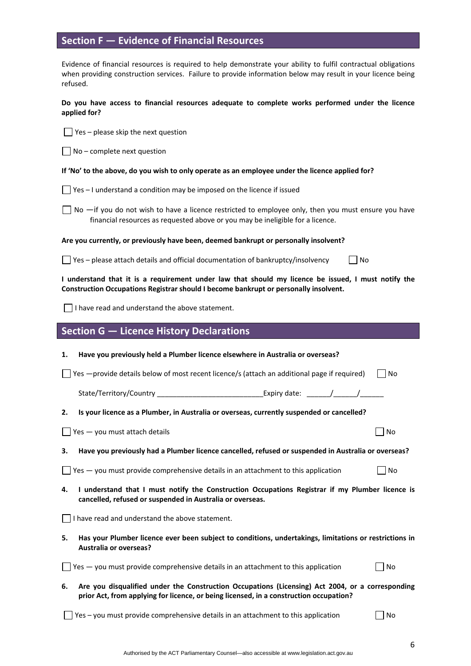### **Section F — Evidence of Financial Resources**

Evidence of financial resources is required to help demonstrate your ability to fulfil contractual obligations when providing construction services. Failure to provide information below may result in your licence being refused.

#### **Do you have access to financial resources adequate to complete works performed under the licence applied for?**

 $\Box$  Yes – please skip the next question

 $\Box$  No – complete next question

#### If 'No' to the above, do you wish to only operate as an employee under the licence applied for?

- $\Box$  Yes I understand a condition may be imposed on the licence if issued
- $\Box$  No  $\Box$  if you do not wish to have a licence restricted to employee only, then you must ensure you have financial resources as requested above or you may be ineligible for a licence.

**Are you currently, or previously have been, deemed bankrupt or personally insolvent?** 

 $\Box$  Yes – please attach details and official documentation of bankruptcy/insolvency  $\Box$  No

I understand that it is a requirement under law that should my licence be issued, I must notify the **Construction Occupations Registrar should I become bankrupt or personally insolvent.** 

 $\Box$  I have read and understand the above statement.

### **Section G — Licence History Declarations**

| 1.                                                                                                                                                                                               | Have you previously held a Plumber licence elsewhere in Australia or overseas?                      |           |  |  |  |  |
|--------------------------------------------------------------------------------------------------------------------------------------------------------------------------------------------------|-----------------------------------------------------------------------------------------------------|-----------|--|--|--|--|
|                                                                                                                                                                                                  | Yes - provide details below of most recent licence/s (attach an additional page if required)<br>No. |           |  |  |  |  |
|                                                                                                                                                                                                  |                                                                                                     |           |  |  |  |  |
| 2.                                                                                                                                                                                               | Is your licence as a Plumber, in Australia or overseas, currently suspended or cancelled?           |           |  |  |  |  |
|                                                                                                                                                                                                  | Yes - you must attach details                                                                       | No        |  |  |  |  |
| З.                                                                                                                                                                                               | Have you previously had a Plumber licence cancelled, refused or suspended in Australia or overseas? |           |  |  |  |  |
|                                                                                                                                                                                                  | $\Box$ Yes $-$ you must provide comprehensive details in an attachment to this application          | l No      |  |  |  |  |
| I understand that I must notify the Construction Occupations Registrar if my Plumber licence is<br>4.<br>cancelled, refused or suspended in Australia or overseas.                               |                                                                                                     |           |  |  |  |  |
|                                                                                                                                                                                                  | I have read and understand the above statement.                                                     |           |  |  |  |  |
| Has your Plumber licence ever been subject to conditions, undertakings, limitations or restrictions in<br>5.<br><b>Australia or overseas?</b>                                                    |                                                                                                     |           |  |  |  |  |
|                                                                                                                                                                                                  | Yes - you must provide comprehensive details in an attachment to this application                   | <b>No</b> |  |  |  |  |
| Are you disqualified under the Construction Occupations (Licensing) Act 2004, or a corresponding<br>6.<br>prior Act, from applying for licence, or being licensed, in a construction occupation? |                                                                                                     |           |  |  |  |  |

 $\Box$  Yes – you must provide comprehensive details in an attachment to this application  $\Box$  No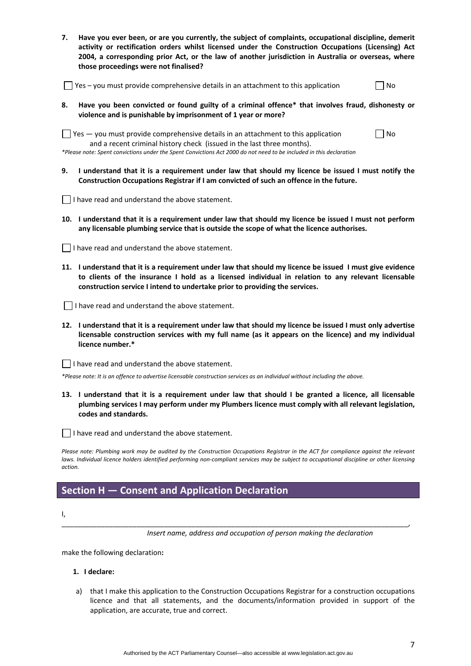| Have you ever been, or are you currently, the subject of complaints, occupational discipline, demerit |
|-------------------------------------------------------------------------------------------------------|
| activity or rectification orders whilst licensed under the Construction Occupations (Licensing) Act   |
| 2004, a corresponding prior Act, or the law of another iurisdiction in Australia or overseas, where   |
| those proceedings were not finalised?                                                                 |

| $\Box$ Yes – you must provide comprehensive details in an attachment to this application | $\Box$ No |  |  |  |
|------------------------------------------------------------------------------------------|-----------|--|--|--|
|------------------------------------------------------------------------------------------|-----------|--|--|--|

**8. Have you been convicted or found guilty of a criminal offence\* that involves fraud, dishonesty or violence and is punishable by imprisonment of 1 year or more?** 

 $\Box$  Yes  $-$  you must provide comprehensive details in an attachment to this application  $\Box$  No and a recent criminal history check (issued in the last three months).

\*Please note: Spent convictions under the Spent Convictions Act 2000 do not need to be included in this declaration

9. I understand that it is a requirement under law that should my licence be issued I must notify the **Construction Occupations Registrar if I am convicted of such an offence in the future.** 

 $\Box$  I have read and understand the above statement.

10. I understand that it is a requirement under law that should my licence be issued I must not perform **any licensable plumbing service that is outside the scope of what the licence authorises.** 

 $\Box$  I have read and understand the above statement.

11. I understand that it is a requirement under law that should my licence be issued I must give evidence **to clients of the insurance I hold as a licensed individual in relation to any relevant licensable construction service I intend to undertake prior to providing the services.**

I have read and understand the above statement.

12. I understand that it is a requirement under law that should my licence be issued I must only advertise **licensable construction services with my full name (as it appears on the licence) and my individual licence number.\*** 

 $\Box$  I have read and understand the above statement.

\*Please note: It is an offence to advertise licensable construction services as an individual without including the above.

13. I understand that it is a requirement under law that should I be granted a licence, all licensable **plumbing services I may perform under my Plumbers licence must comply with all relevant legislation, codes and standards.** 

 $\Box$  I have read and understand the above statement.

Please note: Plumbing work may be audited by the Construction Occupations Registrar in the ACT for compliance against the relevant laws. Individual licence holders identified performing non-compliant services may be subject to occupational discipline or other licensing *action.*

\_\_\_\_\_\_\_\_\_\_\_\_\_\_\_\_\_\_\_\_\_\_\_\_\_\_\_\_\_\_\_\_\_\_\_\_\_\_\_\_\_\_\_\_\_\_\_\_\_\_\_\_\_\_\_\_\_\_\_\_\_\_\_\_\_\_\_\_\_\_\_\_\_\_\_\_\_\_\_\_\_\_\_\_\_\_\_\_,

## **Section H — Consent and Application Declaration**

I,

*Insert name, address and occupation of person making the declaration*

make the following declaration**:**

- **1. I declare:**
- a) that I make this application to the Construction Occupations Registrar for a construction occupations licence and that all statements, and the documents/information provided in support of the application, are accurate, true and correct.